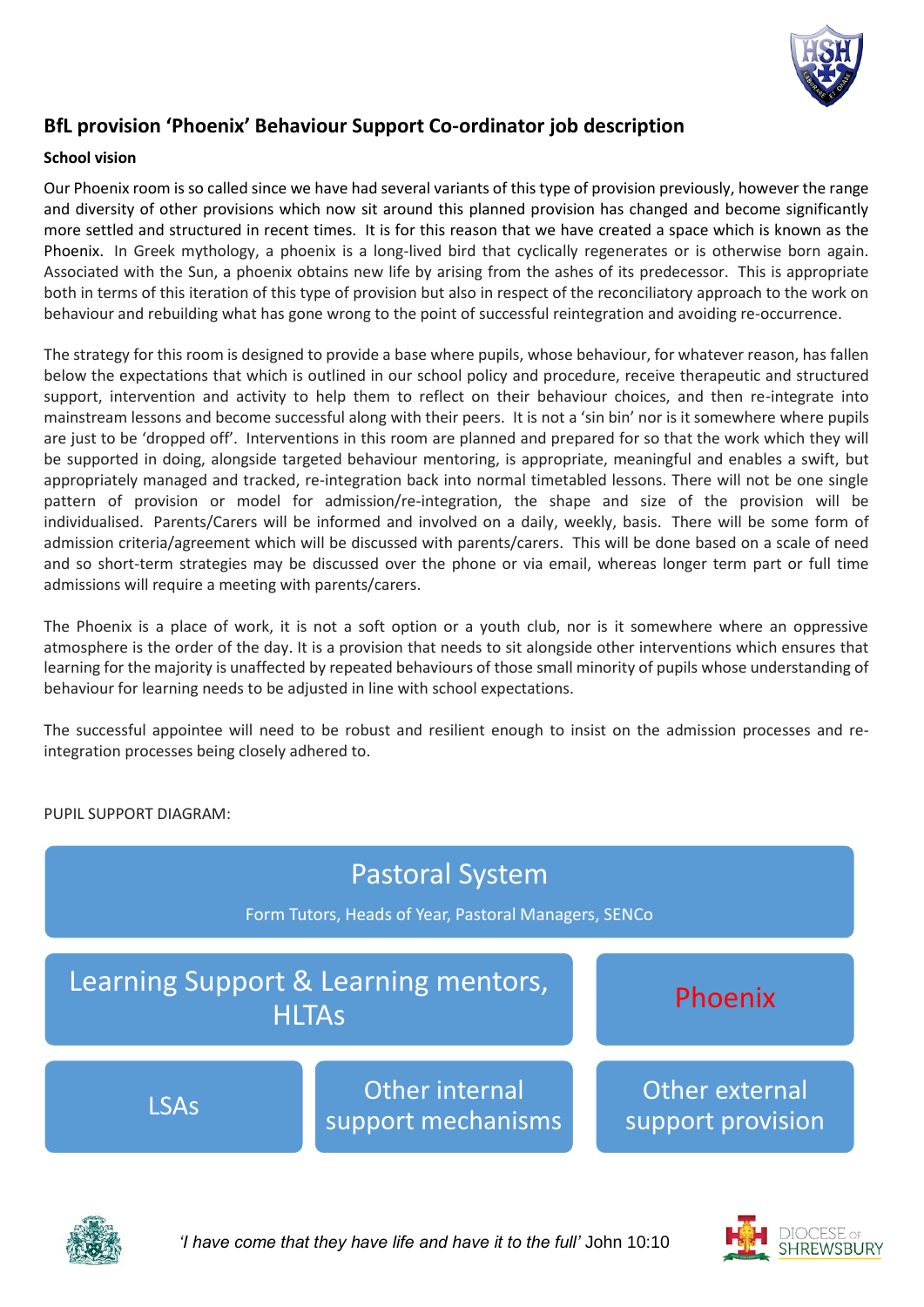

# **BfL provision 'Phoenix' Behaviour Support Co-ordinator job description**

### **School vision**

Our Phoenix room is so called since we have had several variants of this type of provision previously, however the range and diversity of other provisions which now sit around this planned provision has changed and become significantly more settled and structured in recent times. It is for this reason that we have created a space which is known as the Phoenix. In Greek mythology, a phoenix is a long-lived bird that cyclically regenerates or is otherwise born again. Associated with the Sun, a phoenix obtains new life by arising from the ashes of its predecessor. This is appropriate both in terms of this iteration of this type of provision but also in respect of the reconciliatory approach to the work on behaviour and rebuilding what has gone wrong to the point of successful reintegration and avoiding re-occurrence.

The strategy for this room is designed to provide a base where pupils, whose behaviour, for whatever reason, has fallen below the expectations that which is outlined in our school policy and procedure, receive therapeutic and structured support, intervention and activity to help them to reflect on their behaviour choices, and then re-integrate into mainstream lessons and become successful along with their peers. It is not a 'sin bin' nor is it somewhere where pupils are just to be 'dropped off'. Interventions in this room are planned and prepared for so that the work which they will be supported in doing, alongside targeted behaviour mentoring, is appropriate, meaningful and enables a swift, but appropriately managed and tracked, re-integration back into normal timetabled lessons. There will not be one single pattern of provision or model for admission/re-integration, the shape and size of the provision will be individualised. Parents/Carers will be informed and involved on a daily, weekly, basis. There will be some form of admission criteria/agreement which will be discussed with parents/carers. This will be done based on a scale of need and so short-term strategies may be discussed over the phone or via email, whereas longer term part or full time admissions will require a meeting with parents/carers.

The Phoenix is a place of work, it is not a soft option or a youth club, nor is it somewhere where an oppressive atmosphere is the order of the day. It is a provision that needs to sit alongside other interventions which ensures that learning for the majority is unaffected by repeated behaviours of those small minority of pupils whose understanding of behaviour for learning needs to be adjusted in line with school expectations.

The successful appointee will need to be robust and resilient enough to insist on the admission processes and reintegration processes being closely adhered to.



PUPIL SUPPORT DIAGRAM:



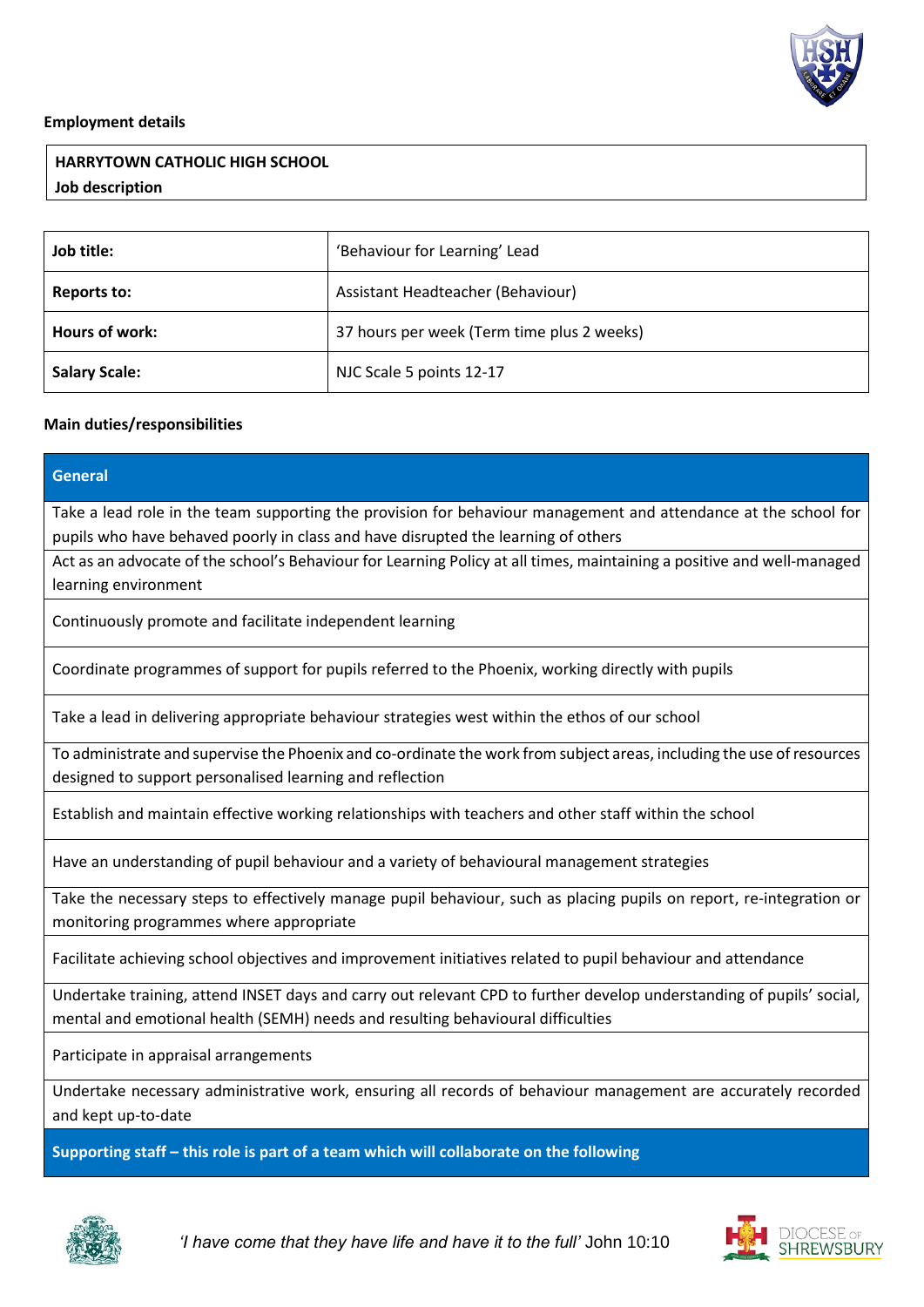

#### **Employment details**

## **HARRYTOWN CATHOLIC HIGH SCHOOL Job description**

| Job title:           | 'Behaviour for Learning' Lead              |
|----------------------|--------------------------------------------|
| <b>Reports to:</b>   | Assistant Headteacher (Behaviour)          |
| Hours of work:       | 37 hours per week (Term time plus 2 weeks) |
| <b>Salary Scale:</b> | NJC Scale 5 points 12-17                   |

### **Main duties/responsibilities**

| <b>General</b>                                                                                                         |
|------------------------------------------------------------------------------------------------------------------------|
| Take a lead role in the team supporting the provision for behaviour management and attendance at the school for        |
| pupils who have behaved poorly in class and have disrupted the learning of others                                      |
| Act as an advocate of the school's Behaviour for Learning Policy at all times, maintaining a positive and well-managed |
| learning environment                                                                                                   |
| Continuously promote and facilitate independent learning                                                               |
| Coordinate programmes of support for pupils referred to the Phoenix, working directly with pupils                      |
| Take a lead in delivering appropriate behaviour strategies west within the ethos of our school                         |
| To administrate and supervise the Phoenix and co-ordinate the work from subject areas, including the use of resources  |
| designed to support personalised learning and reflection                                                               |
| Establish and maintain effective working relationships with teachers and other staff within the school                 |
| Have an understanding of pupil behaviour and a variety of behavioural management strategies                            |
| Take the necessary steps to effectively manage pupil behaviour, such as placing pupils on report, re-integration or    |
| monitoring programmes where appropriate                                                                                |
| Facilitate achieving school objectives and improvement initiatives related to pupil behaviour and attendance           |
| Undertake training, attend INSET days and carry out relevant CPD to further develop understanding of pupils' social,   |
| mental and emotional health (SEMH) needs and resulting behavioural difficulties                                        |
| Participate in appraisal arrangements                                                                                  |
| Undertake necessary administrative work, ensuring all records of behaviour management are accurately recorded          |
| and kept up-to-date                                                                                                    |
| Supporting staff - this role is part of a team which will collaborate on the following                                 |



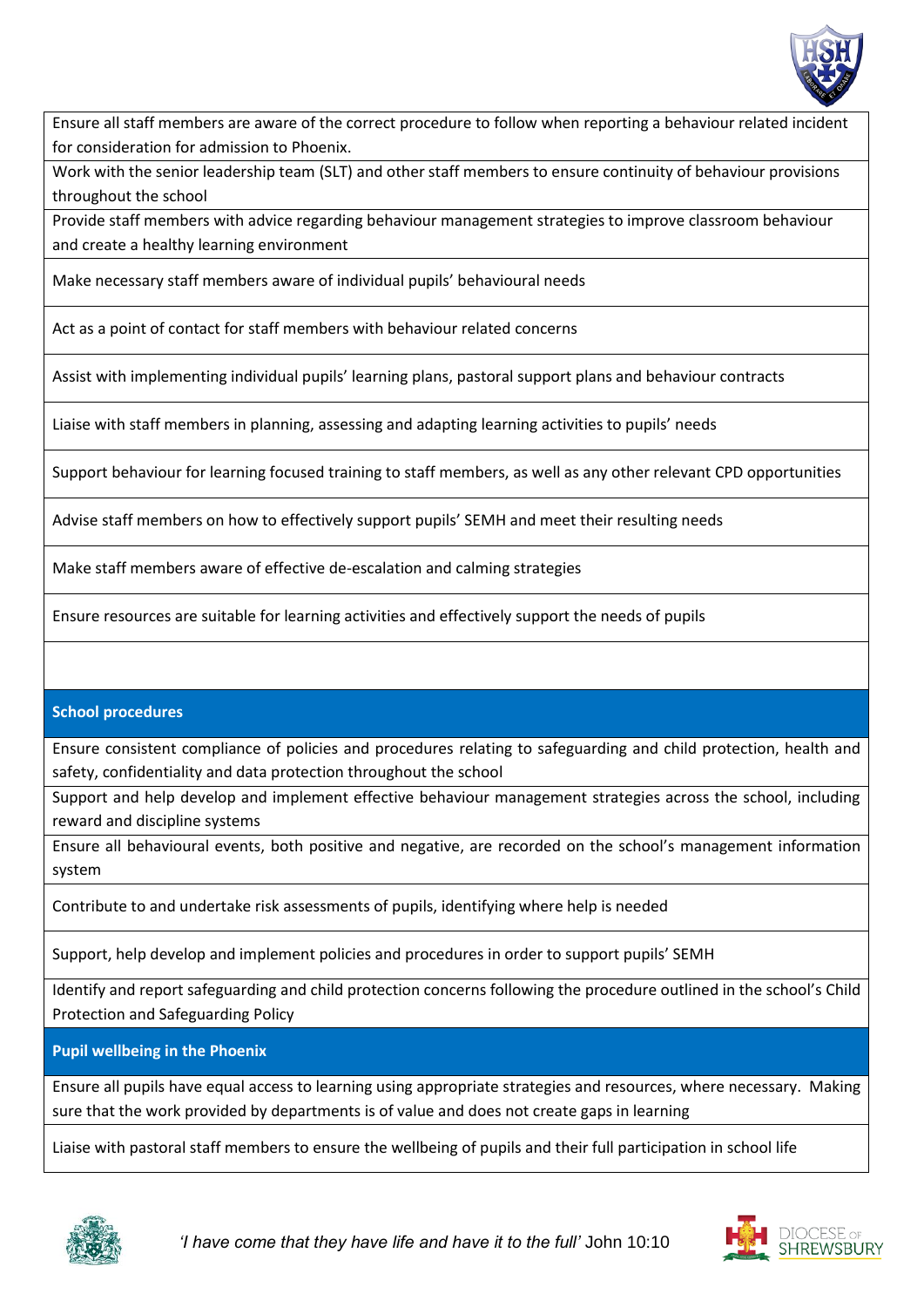

Ensure all staff members are aware of the correct procedure to follow when reporting a behaviour related incident for consideration for admission to Phoenix.

Work with the senior leadership team (SLT) and other staff members to ensure continuity of behaviour provisions throughout the school

Provide staff members with advice regarding behaviour management strategies to improve classroom behaviour and create a healthy learning environment

Make necessary staff members aware of individual pupils' behavioural needs

Act as a point of contact for staff members with behaviour related concerns

Assist with implementing individual pupils' learning plans, pastoral support plans and behaviour contracts

Liaise with staff members in planning, assessing and adapting learning activities to pupils' needs

Support behaviour for learning focused training to staff members, as well as any other relevant CPD opportunities

Advise staff members on how to effectively support pupils' SEMH and meet their resulting needs

Make staff members aware of effective de-escalation and calming strategies

Ensure resources are suitable for learning activities and effectively support the needs of pupils

#### **School procedures**

Ensure consistent compliance of policies and procedures relating to safeguarding and child protection, health and safety, confidentiality and data protection throughout the school

Support and help develop and implement effective behaviour management strategies across the school, including reward and discipline systems

Ensure all behavioural events, both positive and negative, are recorded on the school's management information system

Contribute to and undertake risk assessments of pupils, identifying where help is needed

Support, help develop and implement policies and procedures in order to support pupils' SEMH

Identify and report safeguarding and child protection concerns following the procedure outlined in the school's Child Protection and Safeguarding Policy

**Pupil wellbeing in the Phoenix**

Ensure all pupils have equal access to learning using appropriate strategies and resources, where necessary. Making sure that the work provided by departments is of value and does not create gaps in learning

Liaise with pastoral staff members to ensure the wellbeing of pupils and their full participation in school life